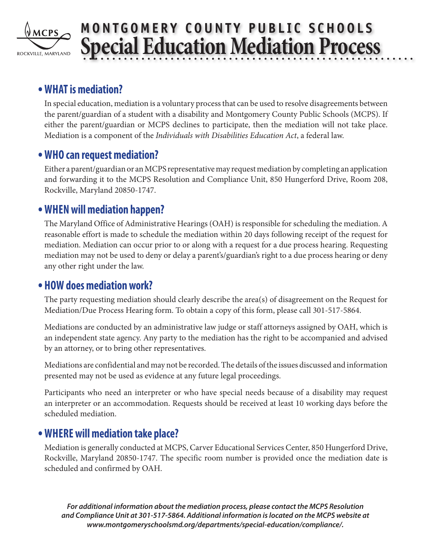

# **MONTGOMERY COUNTY PUBLIC SCHOOLS Special Education Mediation Process**

# **•WHAT is mediation?**

In special education, mediation is a voluntary process that can be used to resolve disagreements between the parent/guardian of a student with a disability and Montgomery County Public Schools (MCPS). If either the parent/guardian or MCPS declines to participate, then the mediation will not take place. Mediation is a component of the *Individuals with Disabilities Education Act*, a federal law.

## **•WHO can request mediation?**

Either a parent/guardian or an MCPS representative may request mediation by completing an application and forwarding it to the MCPS Resolution and Compliance Unit, 850 Hungerford Drive, Room 208, Rockville, Maryland 20850-1747.

# **•WHEN will mediation happen?**

The Maryland Office of Administrative Hearings (OAH) is responsible for scheduling the mediation. A reasonable effort is made to schedule the mediation within 20 days following receipt of the request for mediation. Mediation can occur prior to or along with a request for a due process hearing. Requesting mediation may not be used to deny or delay a parent's/guardian's right to a due process hearing or deny any other right under the law.

## **• HOW does mediation work?**

The party requesting mediation should clearly describe the area(s) of disagreement on the Request for Mediation/Due Process Hearing form. To obtain a copy of this form, please call 301-517-5864.

Mediations are conducted by an administrative law judge or staff attorneys assigned by OAH, which is an independent state agency. Any party to the mediation has the right to be accompanied and advised by an attorney, or to bring other representatives.

Mediations are confidential and may not be recorded. The details of the issues discussed and information presented may not be used as evidence at any future legal proceedings.

Participants who need an interpreter or who have special needs because of a disability may request an interpreter or an accommodation. Requests should be received at least 10 working days before the scheduled mediation.

# **•WHERE will mediation take place?**

Mediation is generally conducted at MCPS, Carver Educational Services Center, 850 Hungerford Drive, Rockville, Maryland 20850-1747. The specific room number is provided once the mediation date is scheduled and confirmed by OAH.

*For additional information about the mediation process, please contact the MCPS Resolution and Compliance Unit at 301-517-5864. Additional information is located on the MCPS website at www.montgomeryschoolsmd.org/departments/special-education/compliance/.*